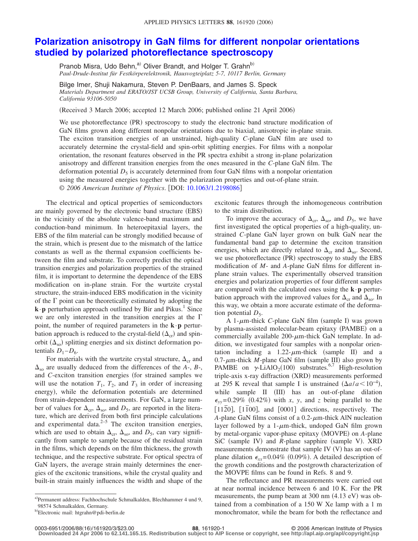## **[Polarization anisotropy in GaN films for different nonpolar orientations](http://dx.doi.org/10.1063/1.2198086) [studied by polarized photoreflectance spectroscopy](http://dx.doi.org/10.1063/1.2198086)**

Pranob Misra, Udo Behn,<sup>a)</sup> Oliver Brandt, and Holger T. Grahn<sup>b)</sup> *Paul-Drude-Institut für Festkörperelektronik, Hausvogteiplatz 5-7, 10117 Berlin, Germany*

Bilge Imer, Shuji Nakamura, Steven P. DenBaars, and James S. Speck *Materials Department and ERATO/JST UCSB Group, University of California, Santa Barbara, California 93106-5050*

(Received 3 March 2006; accepted 12 March 2006; published online 21 April 2006)

We use photoreflectance (PR) spectroscopy to study the electronic band structure modification of GaN films grown along different nonpolar orientations due to biaxial, anisotropic in-plane strain. The exciton transition energies of an unstrained, high-quality *C*-plane GaN film are used to accurately determine the crystal-field and spin-orbit splitting energies. For films with a nonpolar orientation, the resonant features observed in the PR spectra exhibit a strong in-plane polarization anisotropy and different transition energies from the ones measured in the *C*-plane GaN film. The deformation potential  $D_5$  is accurately determined from four GaN films with a nonpolar orientation using the measured energies together with the polarization properties and out-of-plane strain. © *2006 American Institute of Physics*. DOI: [10.1063/1.2198086](http://dx.doi.org/10.1063/1.2198086)

The electrical and optical properties of semiconductors are mainly governed by the electronic band structure (EBS) in the vicinity of the absolute valence-band maximum and conduction-band minimum. In heteroepitaxial layers, the EBS of the film material can be strongly modified because of the strain, which is present due to the mismatch of the lattice constants as well as the thermal expansion coefficients between the film and substrate. To correctly predict the optical transition energies and polarization properties of the strained film, it is important to determine the dependence of the EBS modification on in-plane strain. For the wurtzite crystal structure, the strain-induced EBS modification in the vicinity of the  $\Gamma$  point can be theoretically estimated by adopting the **k** · **p** perturbation approach outlined by Bir and Pikus.<sup>1</sup> Since we are only interested in the transition energies at the  $\Gamma$ point, the number of required parameters in the **k**·**p** perturbation approach is reduced to the crystal-field  $(\Delta_{cr})$  and spinorbit  $(\Delta_{so})$  splitting energies and six distinct deformation potentials  $D_1 - D_6$ .

For materials with the wurtzite crystal structure,  $\Delta_{cr}$  and  $\Delta_{so}$  are usually deduced from the differences of the *A*-, *B*-, and *C*-exciton transition energies (for strained samples we will use the notation  $T_1$ ,  $T_2$ , and  $T_3$  in order of increasing energy), while the deformation potentials are determined from strain-dependent measurements. For GaN, a large number of values for  $\Delta_{cr}$ ,  $\Delta_{so}$ , and  $D_5$ , are reported in the literature, which are derived from both first principle calculations and experimental data. $2-5$  The exciton transition energies, which are used to obtain  $\Delta_{cr}$ ,  $\Delta_{so}$ , and  $D_5$ , can vary significantly from sample to sample because of the residual strain in the films, which depends on the film thickness, the growth technique, and the respective substrate. For optical spectra of GaN layers, the average strain mainly determines the energies of the excitonic transitions, while the crystal quality and built-in strain mainly influences the width and shape of the excitonic features through the inhomogeneous contribution to the strain distribution.

To improve the accuracy of  $\Delta_{cr}$ ,  $\Delta_{so}$ , and  $D_5$ , we have first investigated the optical properties of a high-quality, unstrained *C*-plane GaN layer grown on bulk GaN near the fundamental band gap to determine the exciton transition energies, which are directly related to  $\Delta_{cr}$  and  $\Delta_{so}$ . Second, we use photoreflectance (PR) spectroscopy to study the EBS modification of *M*- and *A*-plane GaN films for different inplane strain values. The experimentally observed transition energies and polarization properties of four different samples are compared with the calculated ones using the **k**·**p** perturbation approach with the improved values for  $\Delta_{cr}$  and  $\Delta_{so}$ . In this way, we obtain a more accurate estimate of the deformation potential  $D_5$ .

A  $1$ - $\mu$ m-thick *C*-plane GaN film (sample I) was grown by plasma-assisted molecular-beam epitaxy (PAMBE) on a commercially available 200- $\mu$ m-thick GaN template. In addition, we investigated four samples with a nonpolar orientation including a  $1.22$ - $\mu$ m-thick (sample II) and a  $0.7$ - $\mu$ m-thick *M*-plane GaN film (sample III) also grown by PAMBE on  $\gamma$ -LiAlO<sub>2</sub>(100) substrates.<sup>6,7</sup> High-resolution triple-axis x-ray diffraction (XRD) measurements performed at 295 K reveal that sample I is unstrained  $(\Delta a/a < 10^{-4})$ , while sample II (III) has an out-of-plane dilation  $\epsilon_{yy}$ =0.29% (0.42%) with *x*, *y*, and *z* being parallel to the [1120], [1100], and [0001] directions, respectively. The *A*-plane GaN films consist of a  $0.2$ - $\mu$ m-thick AlN nucleation layer followed by a 1- $\mu$ m-thick, undoped GaN film grown by metal-organic vapor-phase epitaxy (MOVPE) on *A*-plane SiC (sample IV) and *R*-plane sapphire (sample V). XRD measurements demonstrate that sample IV (V) has an out-ofplane dilation  $\epsilon_{xx}$ =0.04% (0.09%). A detailed description of the growth conditions and the postgrowth characterization of the MOVPE films can be found in Refs. 8 and 9.

The reflectance and PR measurements were carried out at near normal incidence between 6 and 10 K. For the PR measurements, the pump beam at 300 nm (4.13 eV) was obtained from a combination of a 150 W Xe lamp with a 1 m monochromator, while the beam for both the reflectance and

a)Permanent address: Fachhochschule Schmalkalden, Blechhammer 4 und 9, 98574 Schmalkalden, Germany.

<sup>&</sup>lt;sup>b)</sup>Electronic mail: htgrahn@pdi-berlin.de

**<sup>88</sup>**, 161920-1 © 2006 American Institute of Physics

**Downloaded 24 Apr 2006 to 62.141.165.15. Redistribution subject to AIP license or copyright, see http://apl.aip.org/apl/copyright.jsp**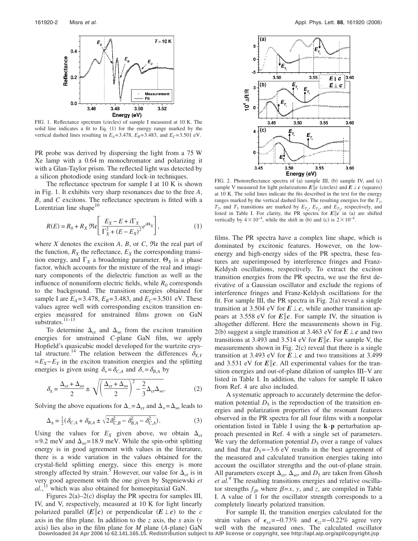

FIG. 1. Reflectance spectrum (circles) of sample I measured at 10 K. The solid line indicates a fit to Eq. (1) for the energy range marked by the vertical dashed lines resulting in  $E_A = 3.478$ ,  $E_B = 3.483$ , and  $E_C = 3.501$  eV.

PR probe was derived by dispersing the light from a 75 W Xe lamp with a 0.64 m monochromator and polarizing it with a Glan-Taylor prism. The reflected light was detected by a silicon photodiode using standard lock-in techniques.

The reflectance spectrum for sample I at 10 K is shown in Fig. 1. It exhibits very sharp resonances due to the free *A*, *B*, and *C* excitons. The reflectance spectrum is fitted with a Lorentzian line shape $10$ 

$$
R(E) = R_0 + R_X \mathfrak{Re} \left[ \frac{E_X - E + i \Gamma_X}{\Gamma_X^2 + (E - E_X)^2} e^{i\Theta_X} \right],
$$
 (1)

where *X* denotes the exciton *A*, *B*, or *C*, Re the real part of the function,  $R_X$  the reflectance,  $E_X$  the corresponding transition energy, and  $\Gamma_X$  a broadening parameter.  $\Theta_X$  is a phase factor, which accounts for the mixture of the real and imaginary components of the dielectric function as well as the influence of nonuniform electric fields, while  $R_0$  corresponds to the background. The transition energies obtained for sample I are  $E_A = 3.478$ ,  $E_B = 3.483$ , and  $E_C = 3.501$  eV. These values agree well with corresponding exciton transition energies measured for unstrained films grown on GaN substrates.<sup>11–13</sup>

To determine  $\Delta_{cr}$  and  $\Delta_{so}$  from the exciton transition energies for unstrained *C*-plane GaN film, we apply Hopfield's quasicubic model developed for the wurtzite crystal structure.<sup>14</sup> The relation between the differences  $\delta_{X,Y}$ =*EX*−*EY* in the exciton transition energies and the splitting energies is given using  $\delta_{+} = \delta_{C,A}$  and  $\delta_{-} = \delta_{B,A}$  by

$$
\delta_{\pm} = \frac{\Delta_{\rm cr} + \Delta_{\rm so}}{2} \pm \sqrt{\left(\frac{\Delta_{\rm cr} + \Delta_{\rm so}}{2}\right)^2 - \frac{2}{3}\Delta_{\rm cr}\Delta_{\rm so}}.\tag{2}
$$

Solving the above equations for  $\Delta = \Delta_{cr}$  and  $\Delta_{+} = \Delta_{so}$  leads to

$$
\Delta_{\pm} = \frac{1}{2} (\delta_{C,A} + \delta_{B,A} \pm \sqrt{2 \delta_{C,B}^2 - \delta_{B,A}^2 - \delta_{C,A}^2}).
$$
\n(3)

Using the values for  $E_X$  given above, we obtain  $\Delta_{cr}$ = 9.2 meV and  $\Delta_{\rm so}$  = 18.9 meV. While the spin-orbit splitting energy is in good agreement with values in the literature, there is a wide variation in the values obtained for the crystal-field splitting energy, since this energy is more strongly affected by strain.<sup>5</sup> However, our value for  $\Delta_{cr}$  is in very good agreement with the one given by Stepniewski et *al.*, <sup>11</sup> which was also obtained for homoepitaxial GaN.

Figures  $2(a) - 2(c)$  display the PR spectra for samples III, IV, and V, respectively, measured at 10 K for light linearly polarized parallel  $(E||c)$  or perpendicular  $(E \perp c)$  to the *c* axis in the film plane. In addition to the *z* axis, the *x* axis *y* axis) lies also in the film plane for  $M$  plane  $(A$ -plane) GaN



FIG. 2. Photoreflectance spectra of (a) sample III, (b) sample IV, and (c) sample V measured for light polarizations  $E\|c$  (circles) and  $E\,\bot\,c$  (squares) at 10 K. The solid lines indicate the fits described in the text for the energy ranges marked by the vertical dashed lines. The resulting energies for the  $T_1$ ,  $T_2$ , and  $T_3$  transitions are marked by  $E_{T_1}$ ,  $E_{T_2}$ , and  $E_{T_3}$ , respectively, and listed in Table I. For clarity, the PR spectra for  $E||c$  in (a) are shifted vertically by  $4 \times 10^{-4}$ , while the shift in (b) and (c) is  $2 \times 10^{-4}$ .

films. The PR spectra have a complex line shape, which is dominated by excitonic features. However, on the lowenergy and high-energy sides of the PR spectra, these features are superimposed by interference fringes and Franz-Keldysh oscillations, respectively. To extract the exciton transition energies from the PR spectra, we use the first derivative of a Gaussian oscillator and exclude the regions of interference fringes and Franz-Keldysh oscillations for the fit. For sample III, the PR spectra in Fig.  $2(a)$  reveal a single transition at 3.504 eV for  $E \perp c$ , while another transition appears at 3.558 eV for  $E\|c$ . For sample IV, the situation is altogether different. Here the measurements shown in Fig. 2(b) suggest a single transition at 3.463 eV for  $E \perp c$  and two transitions at 3.493 and 3.514 eV for  $E\|c$ . For sample V, the measurements shown in Fig.  $2(c)$  reveal that there is a single transition at 3.493 eV for  $E \perp c$  and two transitions at 3.499 and 3.531 eV for  $E\|c$ . All experimental values for the transition energies and out-of-plane dilation of samples III–V are listed in Table I. In addition, the values for sample II taken from Ref. 4 are also included.

A systematic approach to accurately determine the deformation potential  $D_5$  is the reproduction of the transition energies and polarization properties of the resonant features observed in the PR spectra for all four films with a nonpolar orientation listed in Table I using the **k**·**p** perturbation approach presented in Ref. 4 with a single set of parameters. We vary the deformation potential  $D_5$  over a range of values and find that  $D_5$ =−3.6 eV results in the best agreement of the measured and calculated transition energies taking into account the oscillator strengths and the out-of-plane strain. All parameters except  $\Delta_{cr}$ ,  $\Delta_{so}$ , and  $D_5$  are taken from Ghosh *et al.*<sup>4</sup> The resulting transitions energies and relative oscillator strengths  $f_{\beta}$ , where  $\beta = x$ , *y*, and *z*, are compiled in Table I. A value of 1 for the oscillator strength corresponds to a completely linearly polarized transition.

For sample II, the transition energies calculated for the strain values of  $\epsilon_{xx}$ =−0.73% and  $\epsilon_{zz}$ =−0.22% agree very well with the measured ones. The calculated oscillator **Downloaded 24 Apr 2006 to 62.141.165.15. Redistribution subject to AIP license or copyright, see http://apl.aip.org/apl/copyright.jsp**